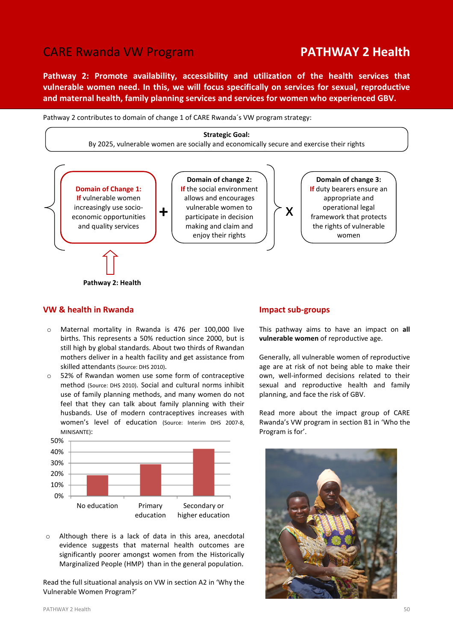# CARE Rwanda VW Program **PATHWAY 2 Health**

Pathway 2: Promote availability, accessibility and utilization of the health services that vulnerable women need. In this, we will focus specifically on services for sexual, reproductive and maternal health, family planning services and services for women who experienced GBV.

Pathway 2 contributes to domain of change 1 of CARE Rwanda´s VW program strategy:



# VW & health in Rwanda

- o Maternal mortality in Rwanda is 476 per 100,000 live births. This represents a 50% reduction since 2000, but is still high by global standards. About two thirds of Rwandan mothers deliver in a health facility and get assistance from skilled attendants (Source: DHS 2010).
- o 52% of Rwandan women use some form of contraceptive method (Source: DHS 2010). Social and cultural norms inhibit use of family planning methods, and many women do not feel that they can talk about family planning with their husbands. Use of modern contraceptives increases with women's level of education (Source: Interim DHS 2007-8, MINISANTE):



o Although there is a lack of data in this area, anecdotal evidence suggests that maternal health outcomes are significantly poorer amongst women from the Historically Marginalized People (HMP) than in the general population.

Read the full situational analysis on VW in section A2 in 'Why the Vulnerable Women Program?'

#### Impact sub-groups

This pathway aims to have an impact on all vulnerable women of reproductive age.

Generally, all vulnerable women of reproductive age are at risk of not being able to make their own, well-informed decisions related to their sexual and reproductive health and family planning, and face the risk of GBV.

Read more about the impact group of CARE Rwanda's VW program in section B1 in 'Who the Program is for'.

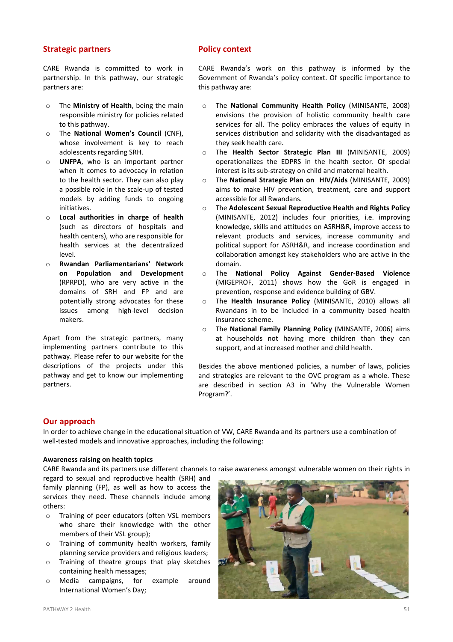## Strategic partners

CARE Rwanda is committed to work in partnership. In this pathway, our strategic partners are:

- o The Ministry of Health, being the main responsible ministry for policies related to this pathway.
- o The National Women's Council (CNF), whose involvement is key to reach adolescents regarding SRH.
- o UNFPA, who is an important partner when it comes to advocacy in relation to the health sector. They can also play a possible role in the scale-up of tested models by adding funds to ongoing initiatives.
- o Local authorities in charge of health (such as directors of hospitals and health centers), who are responsible for health services at the decentralized level.
- o Rwandan Parliamentarians' Network on Population and Development (RPRPD), who are very active in the domains of SRH and FP and are potentially strong advocates for these issues among high-level decision makers.

Apart from the strategic partners, many implementing partners contribute to this pathway. Please refer to our website for the descriptions of the projects under this pathway and get to know our implementing partners.

# Policy context

CARE Rwanda's work on this pathway is informed by the Government of Rwanda's policy context. Of specific importance to this pathway are:

- o The National Community Health Policy (MINISANTE, 2008) envisions the provision of holistic community health care services for all. The policy embraces the values of equity in services distribution and solidarity with the disadvantaged as they seek health care.
- o The Health Sector Strategic Plan III (MINISANTE, 2009) operationalizes the EDPRS in the health sector. Of special interest is its sub-strategy on child and maternal health.
- o The National Strategic Plan on HIV/Aids (MINISANTE, 2009) aims to make HIV prevention, treatment, care and support accessible for all Rwandans.
- o The Adolescent Sexual Reproductive Health and Rights Policy (MINISANTE, 2012) includes four priorities, i.e. improving knowledge, skills and attitudes on ASRH&R, improve access to relevant products and services, increase community and political support for ASRH&R, and increase coordination and collaboration amongst key stakeholders who are active in the domain.
- o The National Policy Against Gender-Based Violence (MIGEPROF, 2011) shows how the GoR is engaged in prevention, response and evidence building of GBV.
- o The Health Insurance Policy (MINISANTE, 2010) allows all Rwandans in to be included in a community based health insurance scheme.
- The National Family Planning Policy (MINSANTE, 2006) aims at households not having more children than they can support, and at increased mother and child health.

Besides the above mentioned policies, a number of laws, policies and strategies are relevant to the OVC program as a whole. These are described in section A3 in 'Why the Vulnerable Women Program?'.

# Our approach

In order to achieve change in the educational situation of VW, CARE Rwanda and its partners use a combination of well-tested models and innovative approaches, including the following:

### Awareness raising on health topics

CARE Rwanda and its partners use different channels to raise awareness amongst vulnerable women on their rights in

regard to sexual and reproductive health (SRH) and family planning (FP), as well as how to access the services they need. These channels include among others:

- o Training of peer educators (often VSL members who share their knowledge with the other members of their VSL group);
- o Training of community health workers, family planning service providers and religious leaders;
- o Training of theatre groups that play sketches containing health messages;
- o Media campaigns, for example around International Women's Day;

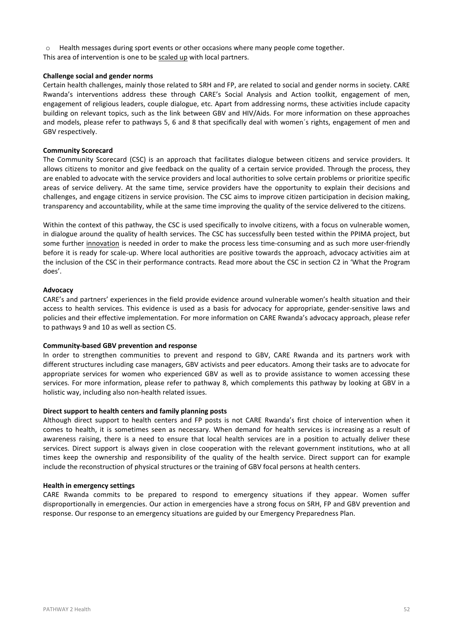$\circ$  Health messages during sport events or other occasions where many people come together.

This area of intervention is one to be scaled up with local partners.

#### Challenge social and gender norms

Certain health challenges, mainly those related to SRH and FP, are related to social and gender norms in society. CARE Rwanda's interventions address these through CARE's Social Analysis and Action toolkit, engagement of men, engagement of religious leaders, couple dialogue, etc. Apart from addressing norms, these activities include capacity building on relevant topics, such as the link between GBV and HIV/Aids. For more information on these approaches and models, please refer to pathways 5, 6 and 8 that specifically deal with women´s rights, engagement of men and GBV respectively.

#### Community Scorecard

The Community Scorecard (CSC) is an approach that facilitates dialogue between citizens and service providers. It allows citizens to monitor and give feedback on the quality of a certain service provided. Through the process, they are enabled to advocate with the service providers and local authorities to solve certain problems or prioritize specific areas of service delivery. At the same time, service providers have the opportunity to explain their decisions and challenges, and engage citizens in service provision. The CSC aims to improve citizen participation in decision making, transparency and accountability, while at the same time improving the quality of the service delivered to the citizens.

Within the context of this pathway, the CSC is used specifically to involve citizens, with a focus on vulnerable women, in dialogue around the quality of health services. The CSC has successfully been tested within the PPIMA project, but some further innovation is needed in order to make the process less time-consuming and as such more user-friendly before it is ready for scale-up. Where local authorities are positive towards the approach, advocacy activities aim at the inclusion of the CSC in their performance contracts. Read more about the CSC in section C2 in 'What the Program does'.

#### Advocacy

CARE's and partners' experiences in the field provide evidence around vulnerable women's health situation and their access to health services. This evidence is used as a basis for advocacy for appropriate, gender-sensitive laws and policies and their effective implementation. For more information on CARE Rwanda's advocacy approach, please refer to pathways 9 and 10 as well as section C5.

### Community-based GBV prevention and response

In order to strengthen communities to prevent and respond to GBV, CARE Rwanda and its partners work with different structures including case managers, GBV activists and peer educators. Among their tasks are to advocate for appropriate services for women who experienced GBV as well as to provide assistance to women accessing these services. For more information, please refer to pathway 8, which complements this pathway by looking at GBV in a holistic way, including also non-health related issues.

#### Direct support to health centers and family planning posts

Although direct support to health centers and FP posts is not CARE Rwanda's first choice of intervention when it comes to health, it is sometimes seen as necessary. When demand for health services is increasing as a result of awareness raising, there is a need to ensure that local health services are in a position to actually deliver these services. Direct support is always given in close cooperation with the relevant government institutions, who at all times keep the ownership and responsibility of the quality of the health service. Direct support can for example include the reconstruction of physical structures or the training of GBV focal persons at health centers.

#### Health in emergency settings

CARE Rwanda commits to be prepared to respond to emergency situations if they appear. Women suffer disproportionally in emergencies. Our action in emergencies have a strong focus on SRH, FP and GBV prevention and response. Our response to an emergency situations are guided by our Emergency Preparedness Plan.